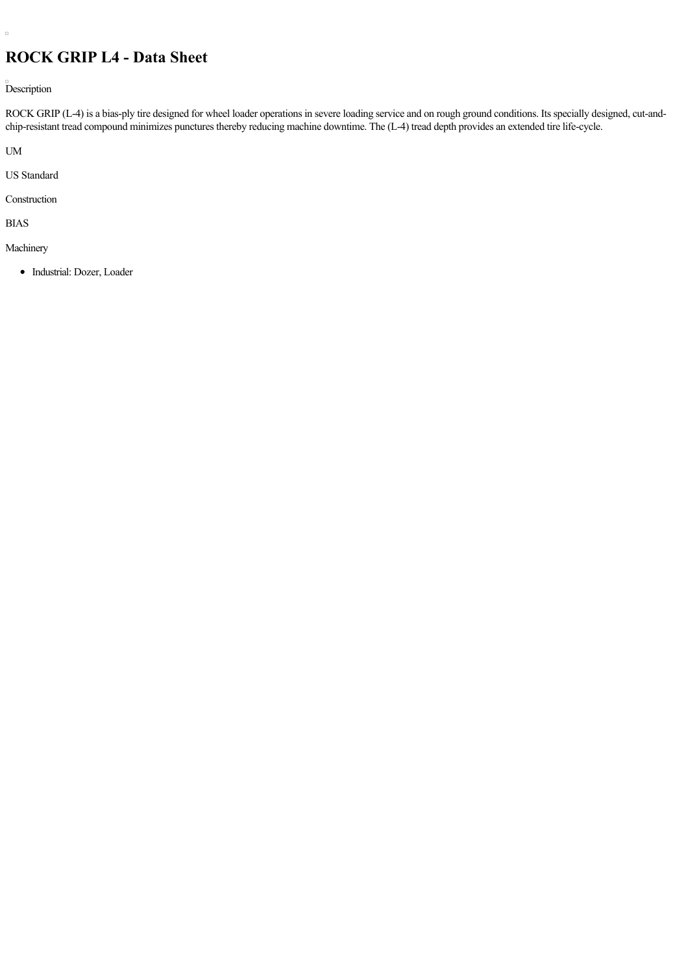## **ROCK GRIP L4 - Data Sheet**

Description

ROCK GRIP (L-4) is a bias-ply tire designed for wheel loader operations in severe loading service and on rough ground conditions. Its specially designed, cut-andchip-resistant tread compound minimizes punctures thereby reducing machine downtime. The (L-4) tread depth provides an extended tire life-cycle.

UM

 $\Box$ 

US Standard

Construction

BIAS

Machinery

• Industrial: Dozer, Loader